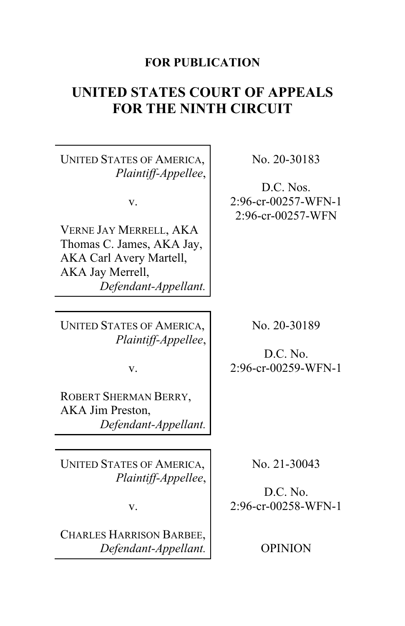# **FOR PUBLICATION**

# **UNITED STATES COURT OF APPEALS FOR THE NINTH CIRCUIT**

UNITED STATES OF AMERICA, *Plaintiff-Appellee*,

v.

VERNE JAY MERRELL, AKA Thomas C. James, AKA Jay, AKA Carl Avery Martell, AKA Jay Merrell, *Defendant-Appellant.* No. 20-30183

D.C. Nos. 2:96-cr-00257-WFN-1 2:96-cr-00257-WFN

UNITED STATES OF AMERICA, *Plaintiff-Appellee*,

v.

ROBERT SHERMAN BERRY, AKA Jim Preston, *Defendant-Appellant.*

UNITED STATES OF AMERICA, *Plaintiff-Appellee*,

v.

CHARLES HARRISON BARBEE, *Defendant-Appellant.* No. 20-30189

D.C. No. 2:96-cr-00259-WFN-1

No. 21-30043

D.C. No. 2:96-cr-00258-WFN-1

OPINION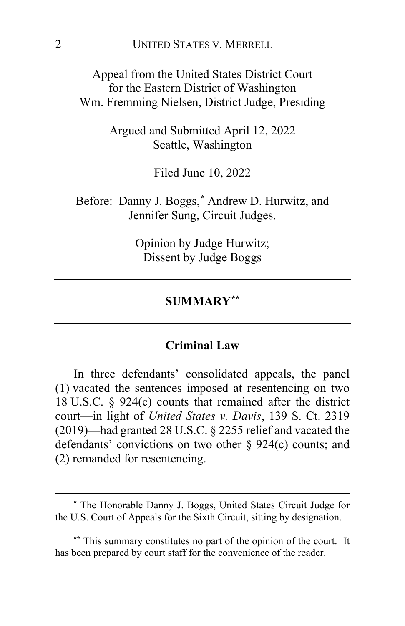Appeal from the United States District Court for the Eastern District of Washington Wm. Fremming Nielsen, District Judge, Presiding

> Argued and Submitted April 12, 2022 Seattle, Washington

> > Filed June 10, 2022

Before: Danny J. Boggs,**[\\*](#page-1-0)** Andrew D. Hurwitz, and Jennifer Sung, Circuit Judges.

> Opinion by Judge Hurwitz; Dissent by Judge Boggs

## **SUMMARY[\\*\\*](#page-1-1)**

## **Criminal Law**

In three defendants' consolidated appeals, the panel (1) vacated the sentences imposed at resentencing on two 18 U.S.C. § 924(c) counts that remained after the district court—in light of *United States v. Davis*, 139 S. Ct. 2319 (2019)—had granted 28 U.S.C. § 2255 relief and vacated the defendants' convictions on two other § 924(c) counts; and (2) remanded for resentencing.

<span id="page-1-0"></span>**<sup>\*</sup>** The Honorable Danny J. Boggs, United States Circuit Judge for the U.S. Court of Appeals for the Sixth Circuit, sitting by designation.

<span id="page-1-1"></span>**<sup>\*\*</sup>** This summary constitutes no part of the opinion of the court. It has been prepared by court staff for the convenience of the reader.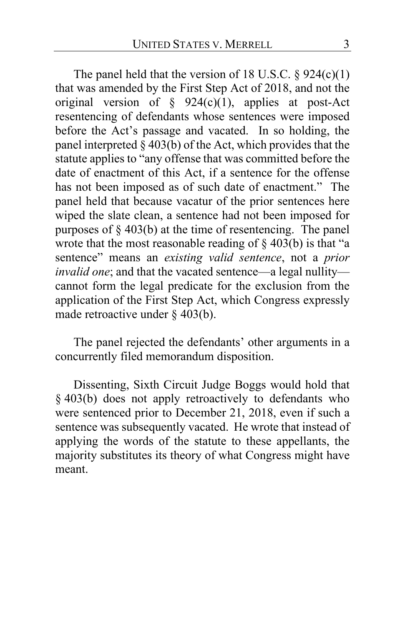The panel held that the version of 18 U.S.C.  $\S 924(c)(1)$ that was amended by the First Step Act of 2018, and not the original version of  $\S$  924(c)(1), applies at post-Act resentencing of defendants whose sentences were imposed before the Act's passage and vacated. In so holding, the panel interpreted  $\S 403(b)$  of the Act, which provides that the statute applies to "any offense that was committed before the date of enactment of this Act, if a sentence for the offense has not been imposed as of such date of enactment." The panel held that because vacatur of the prior sentences here wiped the slate clean, a sentence had not been imposed for purposes of § 403(b) at the time of resentencing. The panel wrote that the most reasonable reading of  $\S$  403(b) is that "a sentence" means an *existing valid sentence*, not a *prior invalid one*; and that the vacated sentence—a legal nullity cannot form the legal predicate for the exclusion from the application of the First Step Act, which Congress expressly made retroactive under § 403(b).

The panel rejected the defendants' other arguments in a concurrently filed memorandum disposition.

Dissenting, Sixth Circuit Judge Boggs would hold that § 403(b) does not apply retroactively to defendants who were sentenced prior to December 21, 2018, even if such a sentence was subsequently vacated. He wrote that instead of applying the words of the statute to these appellants, the majority substitutes its theory of what Congress might have meant.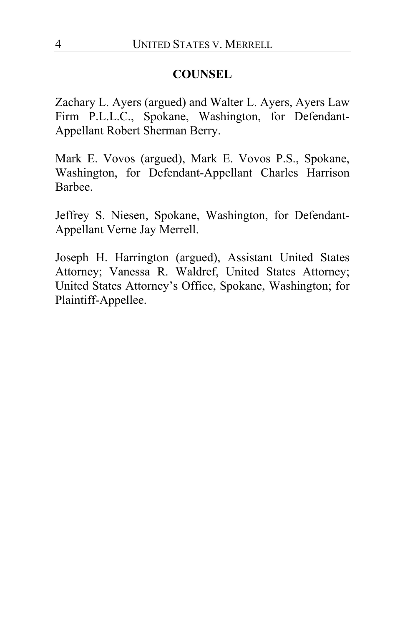# **COUNSEL**

Zachary L. Ayers (argued) and Walter L. Ayers, Ayers Law Firm P.L.L.C., Spokane, Washington, for Defendant-Appellant Robert Sherman Berry.

Mark E. Vovos (argued), Mark E. Vovos P.S., Spokane, Washington, for Defendant-Appellant Charles Harrison Barbee.

Jeffrey S. Niesen, Spokane, Washington, for Defendant-Appellant Verne Jay Merrell.

Joseph H. Harrington (argued), Assistant United States Attorney; Vanessa R. Waldref, United States Attorney; United States Attorney's Office, Spokane, Washington; for Plaintiff-Appellee.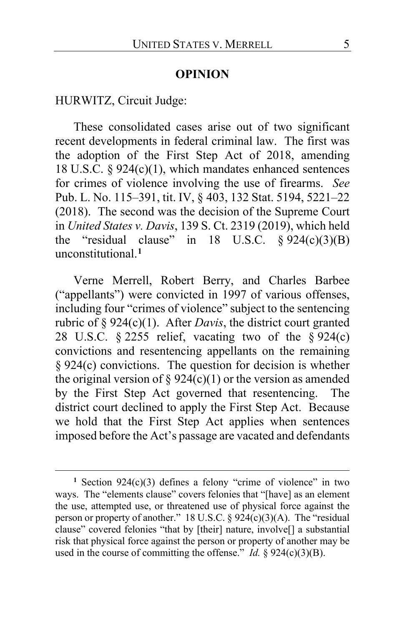#### **OPINION**

HURWITZ, Circuit Judge:

These consolidated cases arise out of two significant recent developments in federal criminal law. The first was the adoption of the First Step Act of 2018, amending 18 U.S.C. § 924(c)(1), which mandates enhanced sentences for crimes of violence involving the use of firearms. *See*  Pub. L. No. 115–391, tit. IV, § 403, 132 Stat. 5194, 5221–22 (2018). The second was the decision of the Supreme Court in *United States v. Davis*, 139 S. Ct. 2319 (2019), which held the "residual clause" in  $18$  U.S.C.  $\S 924(c)(3)(B)$ unconstitutional.**[1](#page-4-0)**

Verne Merrell, Robert Berry, and Charles Barbee ("appellants") were convicted in 1997 of various offenses, including four "crimes of violence" subject to the sentencing rubric of § 924(c)(1). After *Davis*, the district court granted 28 U.S.C.  $\S 2255$  relief, vacating two of the  $\S 924(c)$ convictions and resentencing appellants on the remaining § 924(c) convictions. The question for decision is whether the original version of § 924(c)(1) or the version as amended by the First Step Act governed that resentencing. The district court declined to apply the First Step Act. Because we hold that the First Step Act applies when sentences imposed before the Act's passage are vacated and defendants

<span id="page-4-0"></span>**<sup>1</sup>** Section 924(c)(3) defines a felony "crime of violence" in two ways. The "elements clause" covers felonies that "[have] as an element the use, attempted use, or threatened use of physical force against the person or property of another." 18 U.S.C.  $\S$  924(c)(3)(A). The "residual clause" covered felonies "that by [their] nature, involve[] a substantial risk that physical force against the person or property of another may be used in the course of committing the offense."  $Id. \S$  924(c)(3)(B).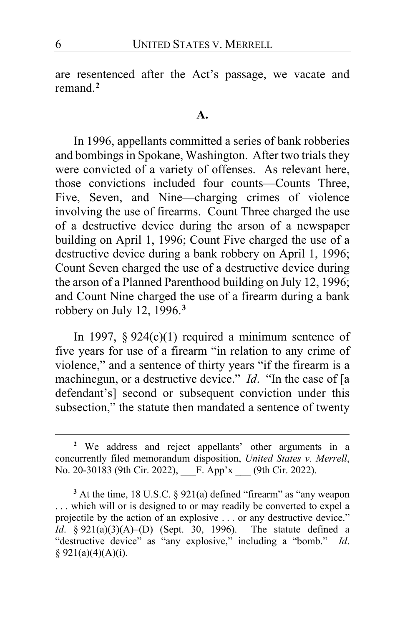are resentenced after the Act's passage, we vacate and remand.**[2](#page-5-0)**

#### **A.**

In 1996, appellants committed a series of bank robberies and bombings in Spokane, Washington. After two trials they were convicted of a variety of offenses. As relevant here, those convictions included four counts—Counts Three, Five, Seven, and Nine—charging crimes of violence involving the use of firearms. Count Three charged the use of a destructive device during the arson of a newspaper building on April 1, 1996; Count Five charged the use of a destructive device during a bank robbery on April 1, 1996; Count Seven charged the use of a destructive device during the arson of a Planned Parenthood building on July 12, 1996; and Count Nine charged the use of a firearm during a bank robbery on July 12, 1996.**[3](#page-5-1)**

In 1997,  $§$  924(c)(1) required a minimum sentence of five years for use of a firearm "in relation to any crime of violence," and a sentence of thirty years "if the firearm is a machinegun, or a destructive device." *Id.* "In the case of [a defendant's] second or subsequent conviction under this subsection," the statute then mandated a sentence of twenty

<span id="page-5-0"></span>**<sup>2</sup>** We address and reject appellants' other arguments in a concurrently filed memorandum disposition, *United States v. Merrell*, No. 20-30183 (9th Cir. 2022), F. App'x (9th Cir. 2022).

<span id="page-5-1"></span>**<sup>3</sup>** At the time, 18 U.S.C. § 921(a) defined "firearm" as "any weapon . . . which will or is designed to or may readily be converted to expel a projectile by the action of an explosive . . . or any destructive device." *Id*. § 921(a)(3)(A)–(D) (Sept. 30, 1996). The statute defined a "destructive device" as "any explosive," including a "bomb." *Id*.  $§$  921(a)(4)(A)(i).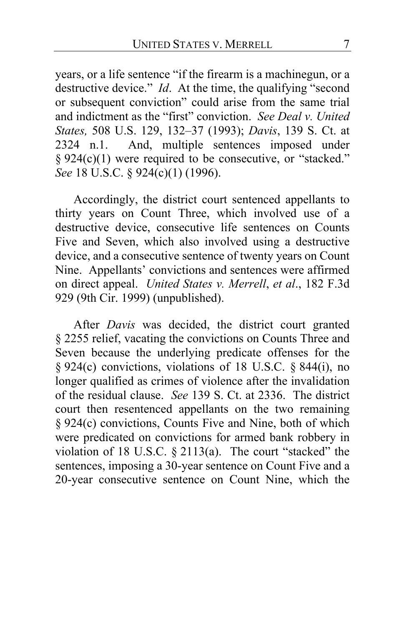years, or a life sentence "if the firearm is a machinegun, or a destructive device." *Id*. At the time, the qualifying "second or subsequent conviction" could arise from the same trial and indictment as the "first" conviction. *See Deal v. United States,* 508 U.S. 129, 132–37 (1993); *Davis*, 139 S. Ct. at 2324 n.1. And, multiple sentences imposed under § 924(c)(1) were required to be consecutive, or "stacked." *See* 18 U.S.C. § 924(c)(1) (1996).

Accordingly, the district court sentenced appellants to thirty years on Count Three, which involved use of a destructive device, consecutive life sentences on Counts Five and Seven, which also involved using a destructive device, and a consecutive sentence of twenty years on Count Nine. Appellants' convictions and sentences were affirmed on direct appeal. *United States v. Merrell*, *et al*., 182 F.3d 929 (9th Cir. 1999) (unpublished).

After *Davis* was decided, the district court granted § 2255 relief, vacating the convictions on Counts Three and Seven because the underlying predicate offenses for the § 924(c) convictions, violations of 18 U.S.C. § 844(i), no longer qualified as crimes of violence after the invalidation of the residual clause. *See* 139 S. Ct. at 2336. The district court then resentenced appellants on the two remaining § 924(c) convictions, Counts Five and Nine, both of which were predicated on convictions for armed bank robbery in violation of 18 U.S.C. § 2113(a). The court "stacked" the sentences, imposing a 30-year sentence on Count Five and a 20-year consecutive sentence on Count Nine, which the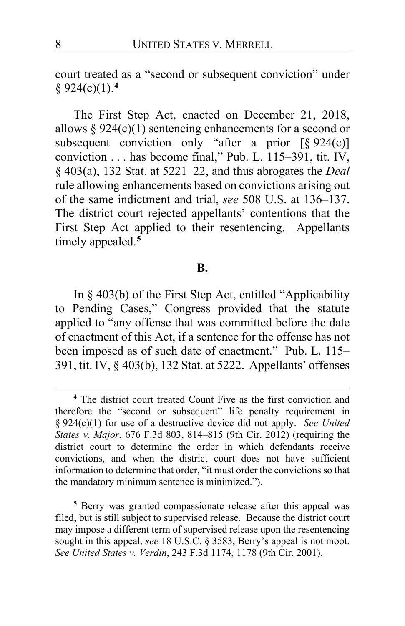court treated as a "second or subsequent conviction" under § 924(c)(1).**[4](#page-7-0)**

The First Step Act, enacted on December 21, 2018, allows  $\S 924(c)(1)$  sentencing enhancements for a second or subsequent conviction only "after a prior  $\lceil \frac{6}{924(c)} \rceil$ conviction . . . has become final," Pub. L. 115–391, tit. IV, § 403(a), 132 Stat. at 5221–22, and thus abrogates the *Deal* rule allowing enhancements based on convictions arising out of the same indictment and trial, *see* 508 U.S. at 136–137. The district court rejected appellants' contentions that the First Step Act applied to their resentencing. Appellants timely appealed.**[5](#page-7-1)**

#### **B.**

In § 403(b) of the First Step Act, entitled "Applicability to Pending Cases," Congress provided that the statute applied to "any offense that was committed before the date of enactment of this Act, if a sentence for the offense has not been imposed as of such date of enactment." Pub. L. 115– 391, tit. IV, § 403(b), 132 Stat. at 5222. Appellants' offenses

<span id="page-7-1"></span>**<sup>5</sup>** Berry was granted compassionate release after this appeal was filed, but is still subject to supervised release. Because the district court may impose a different term of supervised release upon the resentencing sought in this appeal, *see* 18 U.S.C. § 3583, Berry's appeal is not moot. *See United States v. Verdin*, 243 F.3d 1174, 1178 (9th Cir. 2001).

<span id="page-7-0"></span>**<sup>4</sup>** The district court treated Count Five as the first conviction and therefore the "second or subsequent" life penalty requirement in § 924(c)(1) for use of a destructive device did not apply. *See United States v. Major*, 676 F.3d 803, 814–815 (9th Cir. 2012) (requiring the district court to determine the order in which defendants receive convictions, and when the district court does not have sufficient information to determine that order, "it must order the convictions so that the mandatory minimum sentence is minimized.").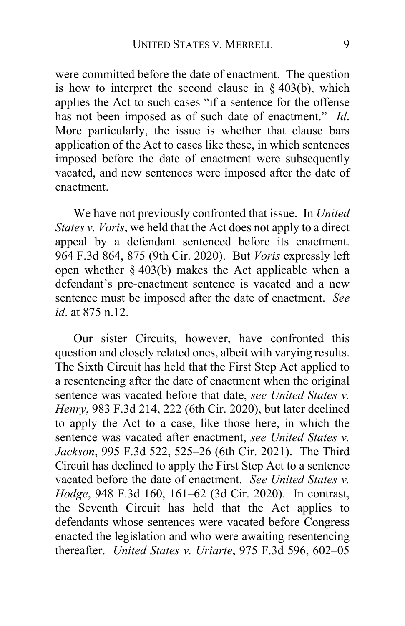were committed before the date of enactment. The question is how to interpret the second clause in  $\S$  403(b), which applies the Act to such cases "if a sentence for the offense has not been imposed as of such date of enactment." *Id*. More particularly, the issue is whether that clause bars application of the Act to cases like these, in which sentences imposed before the date of enactment were subsequently vacated, and new sentences were imposed after the date of enactment.

We have not previously confronted that issue. In *United States v. Voris*, we held that the Act does not apply to a direct appeal by a defendant sentenced before its enactment. 964 F.3d 864, 875 (9th Cir. 2020). But *Voris* expressly left open whether  $\S$  403(b) makes the Act applicable when a defendant's pre-enactment sentence is vacated and a new sentence must be imposed after the date of enactment. *See id*. at 875 n.12.

Our sister Circuits, however, have confronted this question and closely related ones, albeit with varying results. The Sixth Circuit has held that the First Step Act applied to a resentencing after the date of enactment when the original sentence was vacated before that date, *see United States v. Henry*, 983 F.3d 214, 222 (6th Cir. 2020), but later declined to apply the Act to a case, like those here, in which the sentence was vacated after enactment, *see United States v. Jackson*, 995 F.3d 522, 525–26 (6th Cir. 2021). The Third Circuit has declined to apply the First Step Act to a sentence vacated before the date of enactment. *See United States v. Hodge*, 948 F.3d 160, 161–62 (3d Cir. 2020). In contrast, the Seventh Circuit has held that the Act applies to defendants whose sentences were vacated before Congress enacted the legislation and who were awaiting resentencing thereafter. *United States v. Uriarte*, 975 F.3d 596, 602–05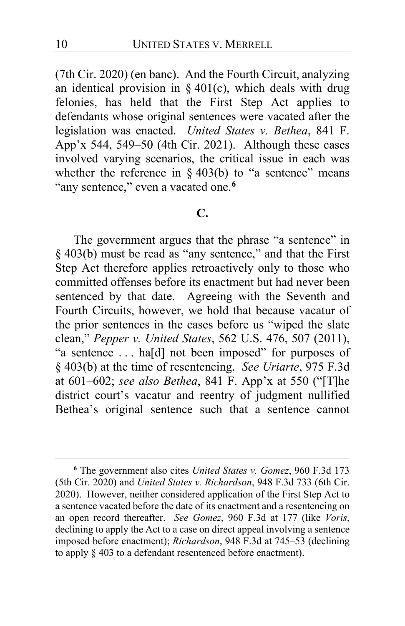(7th Cir. 2020) (en banc). And the Fourth Circuit, analyzing an identical provision in § 401(c), which deals with drug felonies, has held that the First Step Act applies to defendants whose original sentences were vacated after the legislation was enacted. *United States v. Bethea*, 841 F. App'x 544, 549–50 (4th Cir. 2021). Although these cases involved varying scenarios, the critical issue in each was whether the reference in  $\S 403(b)$  to "a sentence" means "any sentence," even a vacated one.**[6](#page-9-0)**

## **C.**

The government argues that the phrase "a sentence" in § 403(b) must be read as "any sentence," and that the First Step Act therefore applies retroactively only to those who committed offenses before its enactment but had never been sentenced by that date. Agreeing with the Seventh and Fourth Circuits, however, we hold that because vacatur of the prior sentences in the cases before us "wiped the slate clean," *Pepper v. United States*, 562 U.S. 476, 507 (2011), "a sentence . . . ha[d] not been imposed" for purposes of § 403(b) at the time of resentencing. *See Uriarte*, 975 F.3d at 601–602; *see also Bethea*, 841 F. App'x at 550 ("[T]he district court's vacatur and reentry of judgment nullified Bethea's original sentence such that a sentence cannot

<span id="page-9-0"></span>**<sup>6</sup>** The government also cites *United States v. Gomez*, 960 F.3d 173 (5th Cir. 2020) and *United States v. Richardson*, 948 F.3d 733 (6th Cir. 2020).However, neither considered application of the First Step Act to a sentence vacated before the date of its enactment and a resentencing on an open record thereafter. *See Gomez*, 960 F.3d at 177 (like *Voris*, declining to apply the Act to a case on direct appeal involving a sentence imposed before enactment); *Richardson*, 948 F.3d at 745–53 (declining to apply § 403 to a defendant resentenced before enactment).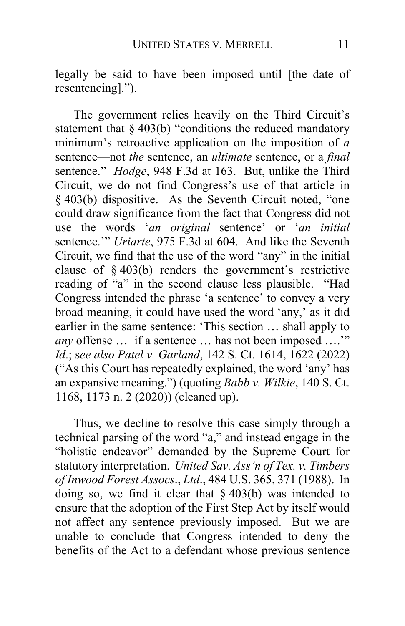legally be said to have been imposed until [the date of resentencing].").

The government relies heavily on the Third Circuit's statement that § 403(b) "conditions the reduced mandatory minimum's retroactive application on the imposition of *a* sentence—not *the* sentence, an *ultimate* sentence, or a *final*  sentence." *Hodge*, 948 F.3d at 163. But, unlike the Third Circuit, we do not find Congress's use of that article in § 403(b) dispositive. As the Seventh Circuit noted, "one could draw significance from the fact that Congress did not use the words '*an original* sentence' or '*an initial* sentence.'" *Uriarte*, 975 F.3d at 604. And like the Seventh Circuit, we find that the use of the word "any" in the initial clause of § 403(b) renders the government's restrictive reading of "a" in the second clause less plausible. "Had Congress intended the phrase 'a sentence' to convey a very broad meaning, it could have used the word 'any,' as it did earlier in the same sentence: 'This section … shall apply to *any* offense … if a sentence … has not been imposed ….'" *Id*.; s*ee also Patel v. Garland*, 142 S. Ct. 1614, 1622 (2022) ("As this Court has repeatedly explained, the word 'any' has an expansive meaning.") (quoting *Babb v. Wilkie*, 140 S. Ct. 1168, 1173 n. 2 (2020)) (cleaned up).

Thus, we decline to resolve this case simply through a technical parsing of the word "a," and instead engage in the "holistic endeavor" demanded by the Supreme Court for statutory interpretation. *United Sav. Ass'n of Tex. v. Timbers of Inwood Forest Assocs*., *Ltd*., 484 U.S. 365, 371 (1988). In doing so, we find it clear that  $\S 403(b)$  was intended to ensure that the adoption of the First Step Act by itself would not affect any sentence previously imposed. But we are unable to conclude that Congress intended to deny the benefits of the Act to a defendant whose previous sentence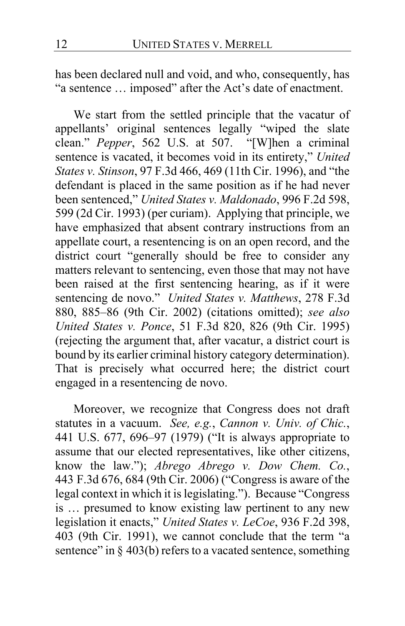has been declared null and void, and who, consequently, has "a sentence … imposed" after the Act's date of enactment.

We start from the settled principle that the vacatur of appellants' original sentences legally "wiped the slate clean." *Pepper*, 562 U.S. at 507. "[W]hen a criminal sentence is vacated, it becomes void in its entirety," *United States v. Stinson*, 97 F.3d 466, 469 (11th Cir. 1996), and "the defendant is placed in the same position as if he had never been sentenced," *United States v. Maldonado*, 996 F.2d 598, 599 (2d Cir. 1993) (per curiam). Applying that principle, we have emphasized that absent contrary instructions from an appellate court, a resentencing is on an open record, and the district court "generally should be free to consider any matters relevant to sentencing, even those that may not have been raised at the first sentencing hearing, as if it were sentencing de novo." *United States v. Matthews*, 278 F.3d 880, 885–86 (9th Cir. 2002) (citations omitted); *see also United States v. Ponce*, 51 F.3d 820, 826 (9th Cir. 1995) (rejecting the argument that, after vacatur, a district court is bound by its earlier criminal history category determination). That is precisely what occurred here; the district court engaged in a resentencing de novo.

Moreover, we recognize that Congress does not draft statutes in a vacuum. *See, e.g.*, *Cannon v. Univ. of Chic.*, 441 U.S. 677, 696–97 (1979) ("It is always appropriate to assume that our elected representatives, like other citizens, know the law."); *Abrego Abrego v. Dow Chem. Co.*, 443 F.3d 676, 684 (9th Cir. 2006) ("Congress is aware of the legal context in which it is legislating."). Because "Congress is … presumed to know existing law pertinent to any new legislation it enacts," *United States v. LeCoe*, 936 F.2d 398, 403 (9th Cir. 1991), we cannot conclude that the term "a sentence" in  $\S$  403(b) refers to a vacated sentence, something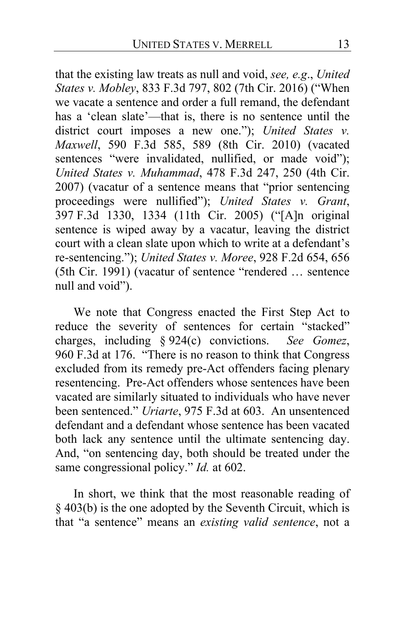that the existing law treats as null and void, *see, e.g*., *United States v. Mobley*, 833 F.3d 797, 802 (7th Cir. 2016) ("When we vacate a sentence and order a full remand, the defendant has a 'clean slate'—that is, there is no sentence until the district court imposes a new one."); *United States v. Maxwell*, 590 F.3d 585, 589 (8th Cir. 2010) (vacated sentences "were invalidated, nullified, or made void"); *United States v. Muhammad*, 478 F.3d 247, 250 (4th Cir. 2007) (vacatur of a sentence means that "prior sentencing proceedings were nullified"); *United States v. Grant*, 397 F.3d 1330, 1334 (11th Cir. 2005) ("[A]n original sentence is wiped away by a vacatur, leaving the district court with a clean slate upon which to write at a defendant's re-sentencing."); *United States v. Moree*, 928 F.2d 654, 656 (5th Cir. 1991) (vacatur of sentence "rendered … sentence null and void").

We note that Congress enacted the First Step Act to reduce the severity of sentences for certain "stacked" charges, including § 924(c) convictions. *See Gomez*, 960 F.3d at 176. "There is no reason to think that Congress excluded from its remedy pre-Act offenders facing plenary resentencing. Pre-Act offenders whose sentences have been vacated are similarly situated to individuals who have never been sentenced." *Uriarte*, 975 F.3d at 603. An unsentenced defendant and a defendant whose sentence has been vacated both lack any sentence until the ultimate sentencing day. And, "on sentencing day, both should be treated under the same congressional policy." *Id.* at 602.

In short, we think that the most reasonable reading of § 403(b) is the one adopted by the Seventh Circuit, which is that "a sentence" means an *existing valid sentence*, not a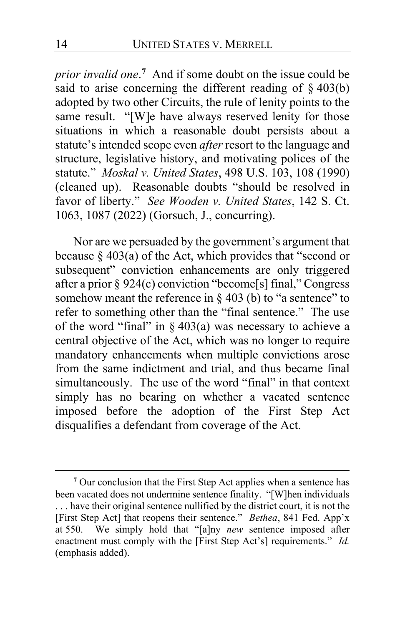*prior invalid one*. **[7](#page-13-0)** And if some doubt on the issue could be said to arise concerning the different reading of  $\S$  403(b) adopted by two other Circuits, the rule of lenity points to the same result. "[W]e have always reserved lenity for those situations in which a reasonable doubt persists about a statute's intended scope even *after* resort to the language and structure, legislative history, and motivating polices of the statute." *Moskal v. United States*, 498 U.S. 103, 108 (1990) (cleaned up). Reasonable doubts "should be resolved in favor of liberty." *See Wooden v. United States*, 142 S. Ct. 1063, 1087 (2022) (Gorsuch, J., concurring).

Nor are we persuaded by the government's argument that because § 403(a) of the Act, which provides that "second or subsequent" conviction enhancements are only triggered after a prior § 924(c) conviction "become[s] final," Congress somehow meant the reference in  $\S$  403 (b) to "a sentence" to refer to something other than the "final sentence." The use of the word "final" in  $\S$  403(a) was necessary to achieve a central objective of the Act, which was no longer to require mandatory enhancements when multiple convictions arose from the same indictment and trial, and thus became final simultaneously. The use of the word "final" in that context simply has no bearing on whether a vacated sentence imposed before the adoption of the First Step Act disqualifies a defendant from coverage of the Act.

<span id="page-13-0"></span>**<sup>7</sup>** Our conclusion that the First Step Act applies when a sentence has been vacated does not undermine sentence finality. "[W]hen individuals . . . have their original sentence nullified by the district court, it is not the [First Step Act] that reopens their sentence." *Bethea*, 841 Fed. App'x at 550. We simply hold that "[a]ny *new* sentence imposed after enactment must comply with the [First Step Act's] requirements." *Id.*  (emphasis added).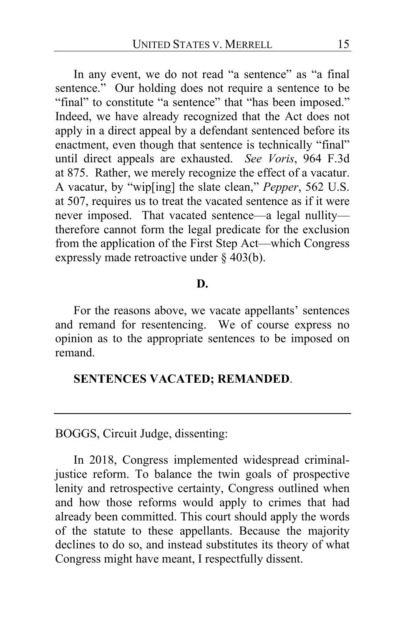In any event, we do not read "a sentence" as "a final sentence." Our holding does not require a sentence to be "final" to constitute "a sentence" that "has been imposed." Indeed, we have already recognized that the Act does not apply in a direct appeal by a defendant sentenced before its enactment, even though that sentence is technically "final" until direct appeals are exhausted. *See Voris*, 964 F.3d at 875. Rather, we merely recognize the effect of a vacatur. A vacatur, by "wip[ing] the slate clean," *Pepper*, 562 U.S. at 507, requires us to treat the vacated sentence as if it were never imposed. That vacated sentence—a legal nullity therefore cannot form the legal predicate for the exclusion from the application of the First Step Act—which Congress expressly made retroactive under § 403(b).

# **D.**

For the reasons above, we vacate appellants' sentences and remand for resentencing. We of course express no opinion as to the appropriate sentences to be imposed on remand.

## **SENTENCES VACATED; REMANDED**.

BOGGS, Circuit Judge, dissenting:

In 2018, Congress implemented widespread criminaljustice reform. To balance the twin goals of prospective lenity and retrospective certainty, Congress outlined when and how those reforms would apply to crimes that had already been committed. This court should apply the words of the statute to these appellants. Because the majority declines to do so, and instead substitutes its theory of what Congress might have meant, I respectfully dissent.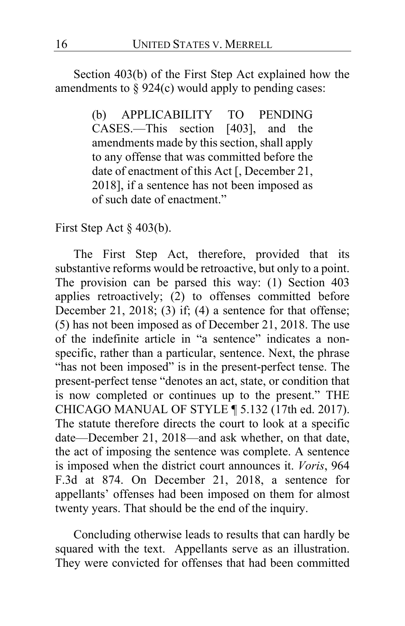Section 403(b) of the First Step Act explained how the amendments to  $\S 924(c)$  would apply to pending cases:

> (b) APPLICABILITY TO PENDING CASES.—This section [403], and the amendments made by this section, shall apply to any offense that was committed before the date of enactment of this Act [, December 21, 2018], if a sentence has not been imposed as of such date of enactment."

First Step Act § 403(b).

The First Step Act, therefore, provided that its substantive reforms would be retroactive, but only to a point. The provision can be parsed this way: (1) Section 403 applies retroactively; (2) to offenses committed before December 21, 2018; (3) if; (4) a sentence for that offense; (5) has not been imposed as of December 21, 2018. The use of the indefinite article in "a sentence" indicates a nonspecific, rather than a particular, sentence. Next, the phrase "has not been imposed" is in the present-perfect tense. The present-perfect tense "denotes an act, state, or condition that is now completed or continues up to the present." THE CHICAGO MANUAL OF STYLE ¶ 5.132 (17th ed. 2017). The statute therefore directs the court to look at a specific date—December 21, 2018—and ask whether, on that date, the act of imposing the sentence was complete. A sentence is imposed when the district court announces it. *Voris*, 964 F.3d at 874. On December 21, 2018, a sentence for appellants' offenses had been imposed on them for almost twenty years. That should be the end of the inquiry.

Concluding otherwise leads to results that can hardly be squared with the text. Appellants serve as an illustration. They were convicted for offenses that had been committed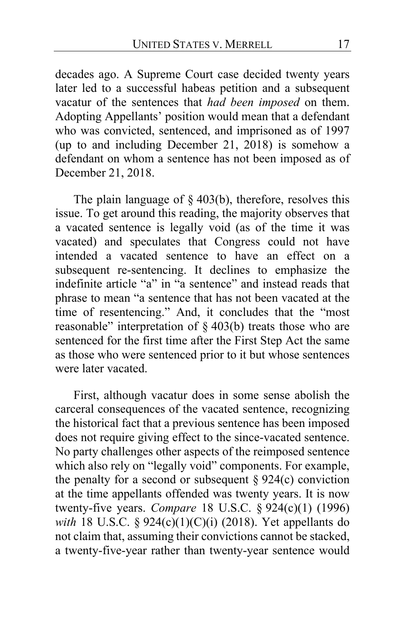decades ago. A Supreme Court case decided twenty years later led to a successful habeas petition and a subsequent vacatur of the sentences that *had been imposed* on them. Adopting Appellants' position would mean that a defendant who was convicted, sentenced, and imprisoned as of 1997 (up to and including December 21, 2018) is somehow a defendant on whom a sentence has not been imposed as of December 21, 2018.

The plain language of  $\S$  403(b), therefore, resolves this issue. To get around this reading, the majority observes that a vacated sentence is legally void (as of the time it was vacated) and speculates that Congress could not have intended a vacated sentence to have an effect on a subsequent re-sentencing. It declines to emphasize the indefinite article "a" in "a sentence" and instead reads that phrase to mean "a sentence that has not been vacated at the time of resentencing." And, it concludes that the "most reasonable" interpretation of § 403(b) treats those who are sentenced for the first time after the First Step Act the same as those who were sentenced prior to it but whose sentences were later vacated.

First, although vacatur does in some sense abolish the carceral consequences of the vacated sentence, recognizing the historical fact that a previous sentence has been imposed does not require giving effect to the since-vacated sentence. No party challenges other aspects of the reimposed sentence which also rely on "legally void" components. For example, the penalty for a second or subsequent  $\S 924(c)$  conviction at the time appellants offended was twenty years. It is now twenty-five years. *Compare* 18 U.S.C. § 924(c)(1) (1996) *with* 18 U.S.C. § 924(c)(1)(C)(i) (2018). Yet appellants do not claim that, assuming their convictions cannot be stacked, a twenty-five-year rather than twenty-year sentence would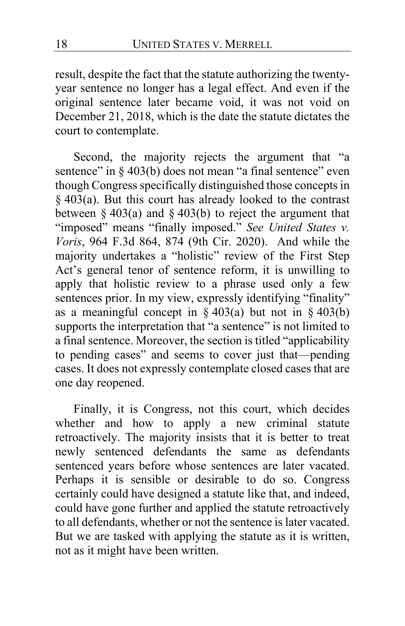result, despite the fact that the statute authorizing the twentyyear sentence no longer has a legal effect. And even if the original sentence later became void, it was not void on December 21, 2018, which is the date the statute dictates the court to contemplate.

Second, the majority rejects the argument that "a sentence" in § 403(b) does not mean "a final sentence" even though Congress specifically distinguished those concepts in § 403(a). But this court has already looked to the contrast between  $\S 403(a)$  and  $\S 403(b)$  to reject the argument that "imposed" means "finally imposed." *See United States v. Voris*, 964 F.3d 864, 874 (9th Cir. 2020). And while the majority undertakes a "holistic" review of the First Step Act's general tenor of sentence reform, it is unwilling to apply that holistic review to a phrase used only a few sentences prior. In my view, expressly identifying "finality" as a meaningful concept in  $\S 403(a)$  but not in  $\S 403(b)$ supports the interpretation that "a sentence" is not limited to a final sentence. Moreover, the section is titled "applicability to pending cases" and seems to cover just that—pending cases. It does not expressly contemplate closed cases that are one day reopened.

Finally, it is Congress, not this court, which decides whether and how to apply a new criminal statute retroactively. The majority insists that it is better to treat newly sentenced defendants the same as defendants sentenced years before whose sentences are later vacated. Perhaps it is sensible or desirable to do so. Congress certainly could have designed a statute like that, and indeed, could have gone further and applied the statute retroactively to all defendants, whether or not the sentence is later vacated. But we are tasked with applying the statute as it is written, not as it might have been written.